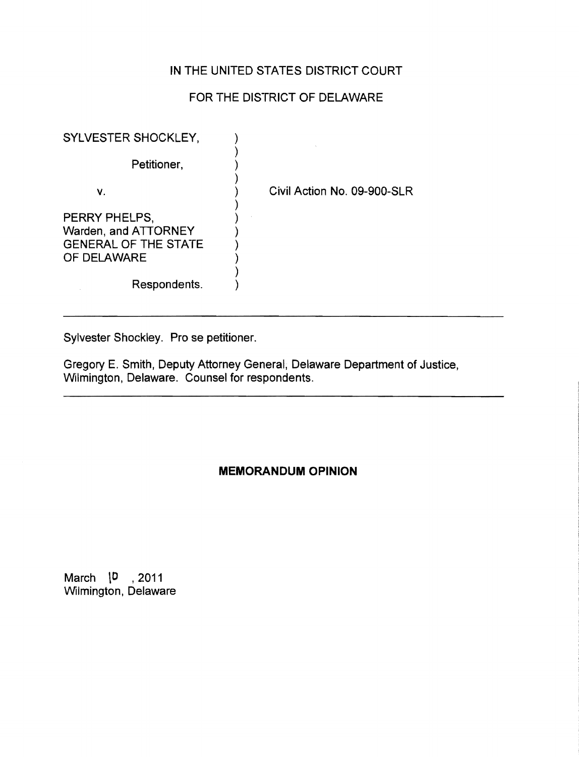# **IN** THE UNITED STATES DISTRICT COURT

## FOR THE DISTRICT OF DELAWARE

| SYLVESTER SHOCKLEY,                                                                 |                             |
|-------------------------------------------------------------------------------------|-----------------------------|
| Petitioner,                                                                         |                             |
| ۷.                                                                                  | Civil Action No. 09-900-SLR |
| PERRY PHELPS,<br>Warden, and ATTORNEY<br><b>GENERAL OF THE STATE</b><br>OF DELAWARE |                             |
| Respondents.                                                                        |                             |

Sylvester Shockley. Pro se petitioner.

Gregory E. Smith, Deputy Attorney General, Delaware Department of Justice, Wilmington, Delaware. Counsel for respondents.

## **MEMORANDUM OPINION**

March  $\sqrt{0}$  , 2011 Wilmington, Delaware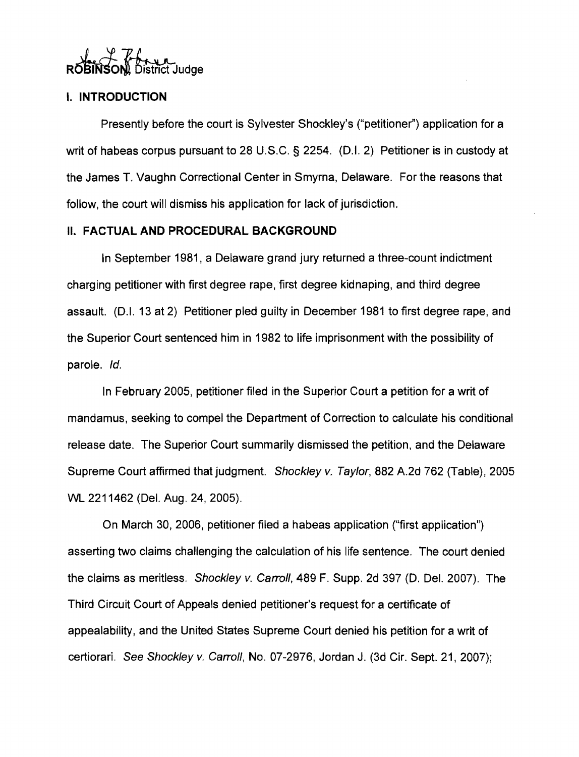# RUCE RELATION

### **I. INTRODUCTION**

Presently before the court is Sylvester Shockley's ("petitioner") application for a writ of habeas corpus pursuant to 28 U.S.C. § 2254. (D.1. 2) Petitioner is in custody at the James T. Vaughn Correctional Center in Smyrna, Delaware. For the reasons that follow, the court will dismiss his application for lack of jurisdiction.

#### II. **FACTUAL AND PROCEDURAL BACKGROUND**

In September 1981, a Delaware grand jury returned a three-count indictment charging petitioner with first degree rape, first degree kidnaping, and third degree assault. (0.1.13 at 2) Petitioner pled guilty in December 1981 to first degree rape, and the Superior Court sentenced him in 1982 to life imprisonment with the possibility of parole. Id.

In February 2005, petitioner filed in the Superior Court a petition for a writ of mandamus, seeking to compel the Department of Correction to calculate his conditional release date. The Superior Court summarily dismissed the petition, and the Delaware Supreme Court affirmed that judgment. Shockley v. Taylor, 882 A.2d 762 (Table), 2005 WL 2211462 (Del. Aug. 24, 2005).

On March 30, 2006, petitioner filed a habeas application ("first application") asserting two claims challenging the calculation of his life sentence. The court denied the claims as meritless. Shockley v. Carroll, 489 F. Supp. 2d 397 (D. Del. 2007). The Third Circuit Court of Appeals denied petitioner's request for a certificate of appealability, and the United States Supreme Court denied his petition for a writ of certiorari. See Shockley v. Carroll, No. 07-2976, Jordan J. (3d Cir. Sept. 21, 2007);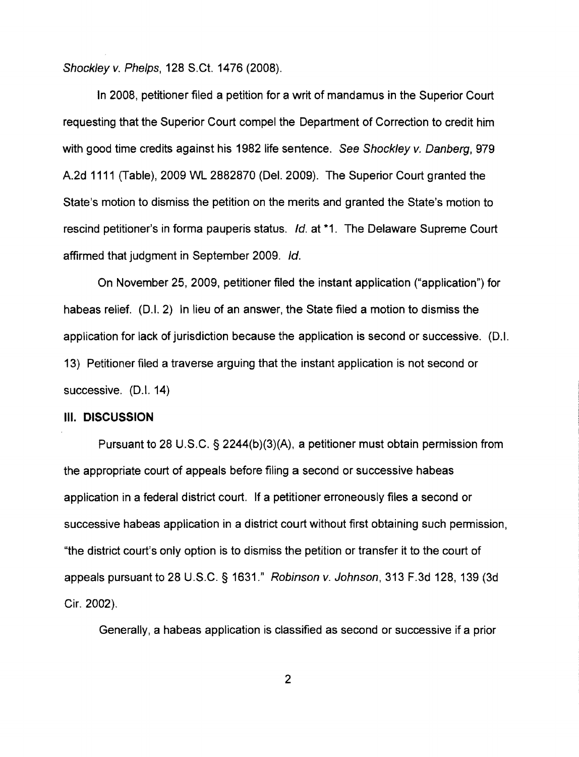Shockley v. Phelps, 128 S.Ct. 1476 (2008).

In 2008, petitioner filed a petition for a writ of mandamus in the Superior Court requesting that the Superior Court compel the Department of Correction to credit him with good time credits against his 1982 life sentence. See Shockley v. Danberg, 979 A.2d 1111 (Table), 2009 WL 2882870 (Del. 2009). The Superior Court granted the State's motion to dismiss the petition on the merits and granted the State's motion to rescind petitioner's in forma pauperis status. Id. at \*1. The Delaware Supreme Court affirmed that judgment in September 2009. Id.

On November 25, 2009, petitioner filed the instant application ("application") for habeas relief. (D.1. 2) In lieu of an answer, the State filed a motion to dismiss the application for lack of jurisdiction because the application is second or successive. (D.1. 13) Petitioner filed a traverse arguing that the instant application is not second or successive. (D.l. 14)

#### **III. DISCUSSION**

Pursuant to 28 U.S.C. § 2244(b)(3)(A), a petitioner must obtain permission from the appropriate court of appeals before filing a second or successive habeas application in a federal district court. If a petitioner erroneously files a second or successive habeas application in a district court without first obtaining such permission, "the district court's only option is to dismiss the petition or transfer it to the court of appeals pursuant to 28 U.S.C. § 1631." Robinson v. Johnson, 313 F.3d 128, 139 (3d Cir. 2002).

Generally, a habeas application is classified as second or successive if a prior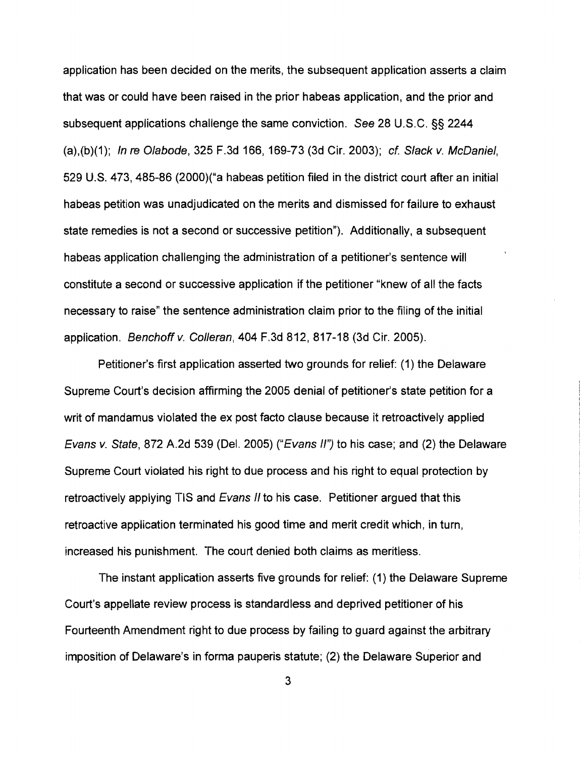application has been decided on the merits, the subsequent application asserts a claim that was or could have been raised in the prior habeas application, and the prior and subsequent applications challenge the same conviction. See 28 U.S.C. §§ 2244 (a),(b)(1); In re O/abode, 325 F.3d 166, 169-73 (3d Cir. 2003); cf. Slack v. McDanie/, 529 U.S. 473, 485-86 (2000)("a habeas petition filed in the district court after an initial habeas petition was unadjudicated on the merits and dismissed for failure to exhaust state remedies is not a second or successive petition"). Additionally, a subsequent habeas application challenging the administration of a petitioner's sentence will constitute a second or successive application if the petitioner "knew of all the facts necessary to raise" the sentence administration claim prior to the 'filing of the initial application. Benchoff v. Colleran, 404 F.3d 812, 817-18 (3d Cir. 2005).

Petitioner's first application asserted two grounds for relief: (1) the Delaware Supreme Court's decision affirming the 2005 denial of petitioner's state petition for a writ of mandamus violated the ex post facto clause because it retroactively applied Evans v. State, 872 A.2d 539 (Del. 2005) ("Evans II") to his case; and (2) the Delaware Supreme Court violated his right to due process and his right to equal protection by retroactively applying TIS and Evans /I to his case. Petitioner argued that this retroactive application terminated his good time and merit credit which, in turn, increased his punishment. The court denied both claims as meritless.

The instant application asserts five grounds for relief: (1) the Delaware Supreme Court's appellate review process is standardless and deprived petitioner of his Fourteenth Amendment right to due process by failing to guard against the arbitrary imposition of Delaware's in forma pauperis statute; (2) the Delaware Superior and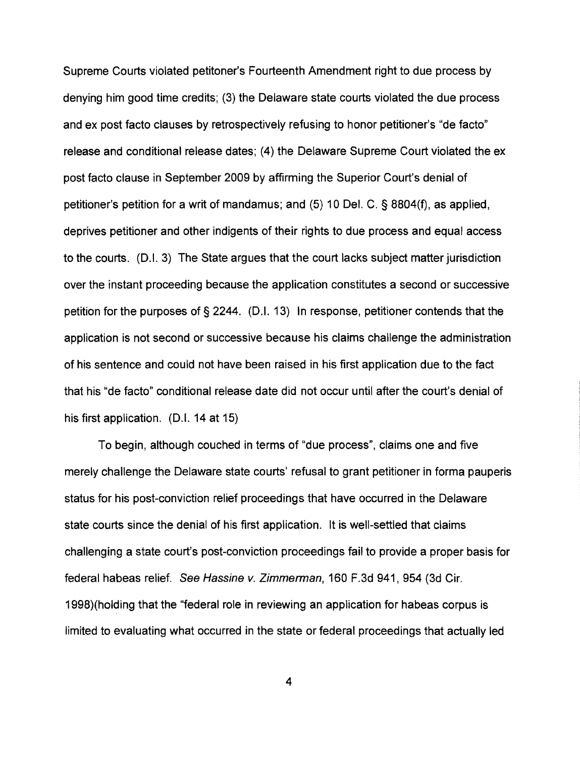Supreme Courts violated petitoner's Fourteenth Amendment right to due process by denying him good time credits; (3) the Delaware state courts violated the due process and ex post facto clauses by retrospectively refusing to honor petitioner's "de facto" release and conditional release dates; (4) the Delaware Supreme Court violated the ex post facto clause in September 2009 by affirming the Superior Court's denial of petitioner's petition for a writ of mandamus; and (5) 10 Del. C. § 8804(f}. as applied, deprives petitioner and other indigents of their rights to due process and equal access to the courts. (0.1. 3) The State argues that the court lacks subject matter jurisdiction over the instant proceeding because the application constitutes a second or successive petition for the purposes of § 2244. (0.1. 13) In response, petitioner contends that the application is not second or successive because his claims challenge the administration of his sentence and could not have been raised in his first application due to the fact that his "de facto" conditional release date did not occur until after the court's denial of his first application. (D.I. 14 at 15)

To begin, although couched in terms of "due process", claims one and five merely challenge the Delaware state courts' refusal to grant petitioner in forma pauperis status for his post-conviction relief proceedings that have occurred in the Delaware state courts since the denial of his first application. It is well-settled that claims challenging a state court's post-conviction proceedings fail to provide a proper basis for federal habeas relief. See Hassine v. Zimmerman, 160 F.3d 941, 954 (3d Cir. 1998)(holding that the "federal role in reviewing an application for habeas corpus is limited to evaluating what occurred in the state or federal proceedings that actually led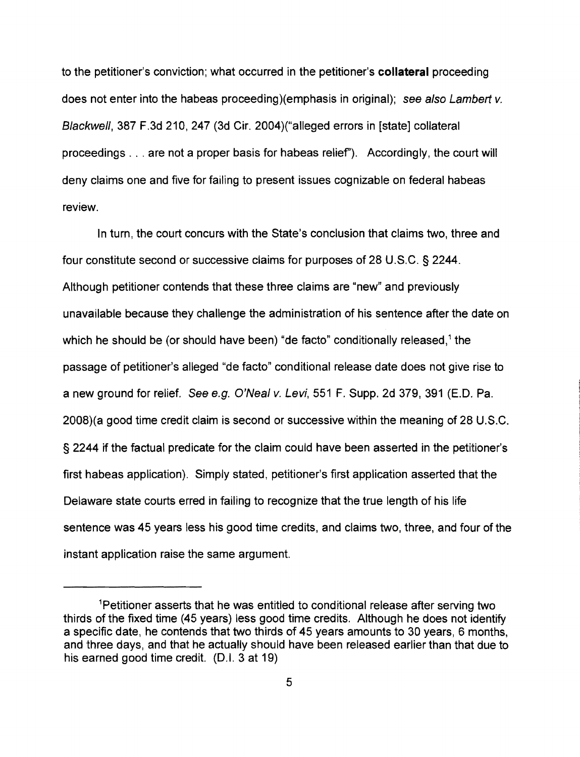to the petitioner's conviction; what occurred in the petitioner's **collateral** proceeding does not enter into the habeas proceeding)(emphasis in original); see also Lambert v. Blackwell, 387 F.3d 210, 247 (3d Cir. 2004)("alleged errors in [state] collateral proceedings ... are not a proper basis for habeas relief'). Accordingly, the court will deny claims one and five for failing to present issues cognizable on federal habeas review.

**In** turn, the court concurs with the State's conclusion that claims two, three and four constitute second or successive claims for purposes of 28 U.S.C. § 2244. Although petitioner contends that these three claims are "new" and previously unavailable because they challenge the administration of his sentence after the date on which he should be (or should have been) "de facto" conditionally released, $1$  the passage of petitioner's alleged "de facto" conditional release date does not give rise to a new ground for relief. See e.g. O'Neal v. Levi, 551 F. Supp. 2d 379, 391 (E.D. Pa. 2008)(a good time credit claim is second or successive within the meaning of 28 U.S.C. § 2244 if the factual predicate for the claim could have been asserted in the petitioner's first habeas application). Simply stated, petitioner's first application asserted that the Delaware state courts erred in failing to recognize that the true length of his life sentence was 45 years less his good time credits, and claims two, three, and four of the instant application raise the same argument.

<sup>1</sup>Petitioner asserts that he was entitled to conditional release after serving two thirds of the fixed time (45 years) less good time credits. Although he does not identify a specific date, he contends that two thirds of 45 years amounts to 30 years, 6 months, and three days, and that he actually should have been released earlier than that due to his earned good time credit. (D.I. 3 at 19)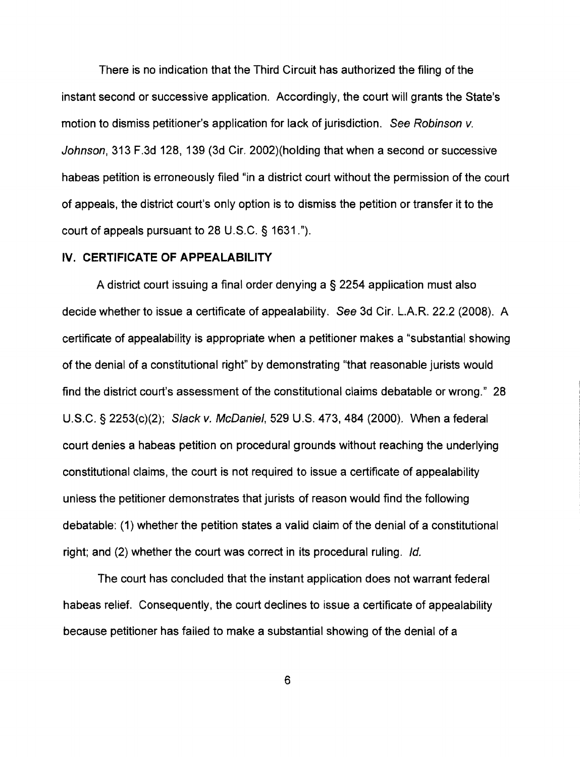There is no indication that the Third Circuit has authorized the filing of the instant second or successive application. Accordingly, the court will grants the State's motion to dismiss petitioner's application for lack of jurisdiction. See Robinson v. Johnson, 313 F.3d 128, 139 (3d Cir. 2002)(holding that when a second or successive habeas petition is erroneously filed "in a district court without the permission of the court of appeals, the district court's only option is to dismiss the petition or transfer it to the court of appeals pursuant to 28 U.S.C. § 1631.").

#### **IV. CERTIFICATE OF APPEALABILITY**

A district court issuing a final order denying a § 2254 application must also decide whether to issue a certificate of appealability. See 3d Cir. L.A.R. 22.2 (2008). A certificate of appealability is appropriate when a petitioner makes a "substantial showing of the denial of a constitutional right" by demonstrating "that reasonable jurists would find the district court's assessment of the constitutional claims debatable or wrong." 28 U.S.C. § 2253(c)(2); Slack v. McDaniel, 529 U.S. 473, 484 (2000). When a federal court denies a habeas petition on procedural grounds without reaching the underlying constitutional claims, the court is not required to issue a certificate of appealability unless the petitioner demonstrates that jurists of reason would find the following debatable: (1) whether the petition states a valid claim of the denial of a constitutional right; and (2) whether the court was correct in its procedural ruling. *Id.* 

The court has concluded that the instant application does not warrant federal habeas relief. Consequently, the court declines to issue a certificate of appealability because petitioner has failed to make a substantial showing of the denial of a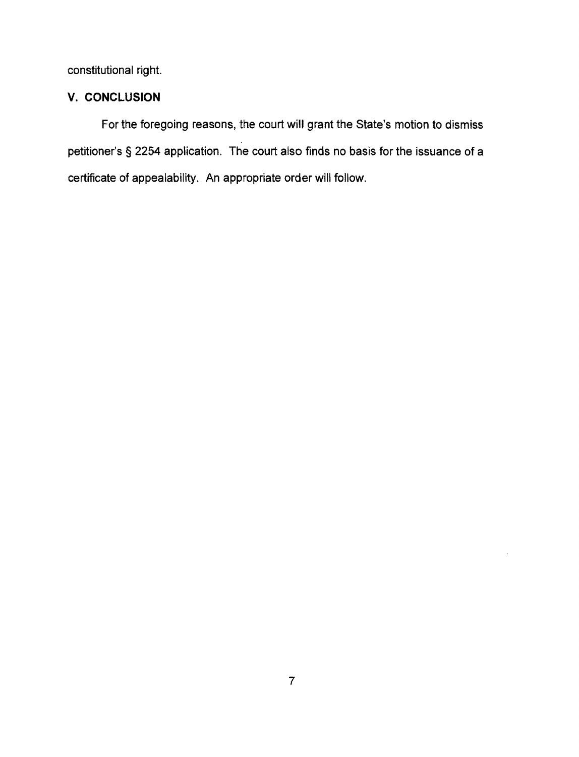constitutional right.

## **V. CONCLUSION**

For the foregoing reasons, the court will grant the State's motion to dismiss petitioner's § 2254 application. The court also finds no basis for the issuance of a certificate of appealability. An appropriate order will follow.